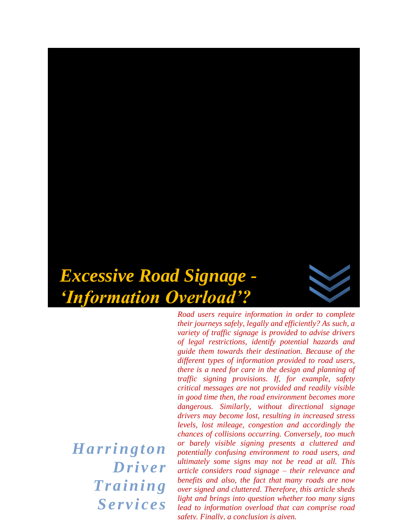# *Excessive Road Signage - 'Information Overload'?*

*Road users require information in order to complete their journeys safely, legally and efficiently? As such, a variety of traffic signage is provided to advise drivers of legal restrictions, identify potential hazards and guide them towards their destination. Because of the different types of information provided to road users, there is a need for care in the design and planning of traffic signing provisions. If, for example, safety critical messages are not provided and readily visible in good time then, the road environment becomes more dangerous. Similarly, without directional signage drivers may become lost, resulting in increased stress levels, lost mileage, congestion and accordingly the chances of collisions occurring. Conversely, too much or barely visible signing presents a cluttered and potentially confusing environment to road users, and ultimately some signs may not be read at all. This article considers road signage – their relevance and benefits and also, the fact that many roads are now over signed and cluttered. Therefore, this article sheds light and brings into question whether too many signs lead to information overload that can comprise road safety. Finally, a conclusion is given.* 

*H ar r i ngton Dri ver*   $Training$ *Se r v i c e s*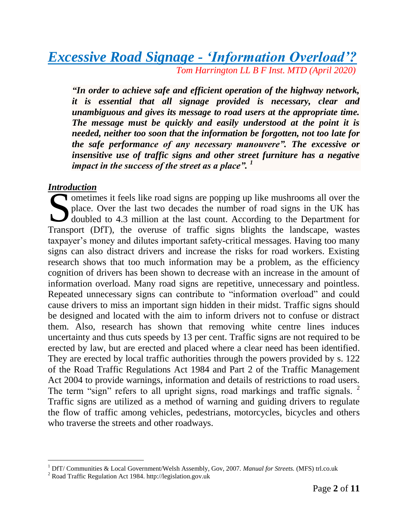# *Excessive Road Signage - 'Information Overload'? Tom Harrington LL B F Inst. MTD (April 2020)*

*"In order to achieve safe and efficient operation of the highway network, it is essential that all signage provided is necessary, clear and unambiguous and gives its message to road users at the appropriate time. The message must be quickly and easily understood at the point it is needed, neither too soon that the information be forgotten, not too late for the safe performance of any necessary manouvere". The excessive or insensitive use of traffic signs and other street furniture has a negative impact in the success of the street as a place". <sup>1</sup>*

#### *Introduction*

l

ometimes it feels like road signs are popping up like mushrooms all over the place. Over the last two decades the number of road signs in the UK has doubled to 4.3 million at the last count. According to the Department for place. Over the last two decades the number of road signs in the UK has doubled to 4.3 million at the last count. According to the Department for Transport (DfT), the overuse of traffic signs blights the landscape, wastes taxpayer's money and dilutes important safety-critical messages. Having too many signs can also distract drivers and increase the risks for road workers. Existing research shows that too much information may be a problem, as the efficiency cognition of drivers has been shown to decrease with an increase in the amount of information overload. Many road signs are repetitive, unnecessary and pointless. Repeated unnecessary signs can contribute to "information overload" and could cause drivers to miss an important sign hidden in their midst. Traffic signs should be designed and located with the aim to inform drivers not to confuse or distract them. Also, research has shown that removing white centre lines induces uncertainty and thus cuts speeds by 13 per cent. Traffic signs are not required to be erected by law, but are erected and placed where a clear need has been identified. They are erected by local traffic authorities through the powers provided by s. 122 of the Road Traffic Regulations Act 1984 and Part 2 of the Traffic Management Act 2004 to provide warnings, information and details of restrictions to road users. The term "sign" refers to all upright signs, road markings and traffic signals. <sup>2</sup> Traffic signs are utilized as a method of warning and guiding drivers to regulate the flow of traffic among vehicles, pedestrians, motorcycles, bicycles and others who traverse the streets and other roadways.

<sup>1</sup> DfT/ Communities & Local Government/Welsh Assembly, Gov, 2007. *Manual for Streets.* (MFS) trl.co.uk

<sup>2</sup> Road Traffic Regulation Act 1984. http://legislation.gov.uk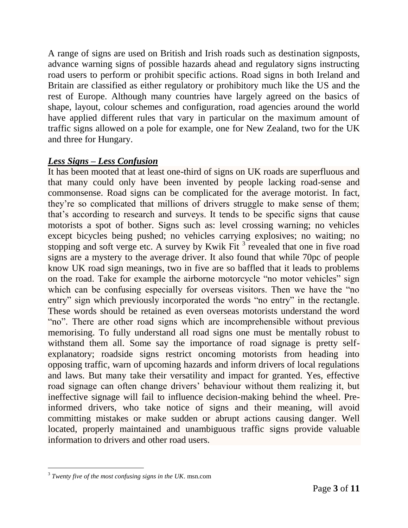A range of signs are used on British and Irish roads such as destination signposts, advance warning signs of possible hazards ahead and regulatory signs instructing road users to perform or prohibit specific actions. Road signs in both Ireland and Britain are classified as either regulatory or prohibitory much like the US and the rest of Europe. Although many countries have largely agreed on the basics of shape, layout, colour schemes and configuration, road agencies around the world have applied different rules that vary in particular on the maximum amount of traffic signs allowed on a pole for example, one for New Zealand, two for the UK and three for Hungary.

#### *Less Signs – Less Confusion*

It has been mooted that at least one-third of signs on UK roads are superfluous and that many could only have been invented by people lacking road-sense and commonsense. Road signs can be complicated for the average motorist. In fact, they're so complicated that millions of drivers struggle to make sense of them; that's according to research and surveys. It tends to be specific signs that cause motorists a spot of bother. Signs such as: level crossing warning; no vehicles except bicycles being pushed; no vehicles carrying explosives; no waiting; no stopping and soft verge etc. A survey by Kwik Fit  $3$  revealed that one in five road signs are a mystery to the average driver. It also found that while 70pc of people know UK road sign meanings, two in five are so baffled that it leads to problems on the road. Take for example the airborne motorcycle "no motor vehicles" sign which can be confusing especially for overseas visitors. Then we have the "no entry" sign which previously incorporated the words "no entry" in the rectangle. These words should be retained as even overseas motorists understand the word "no". There are other road signs which are incomprehensible without previous memorising. To fully understand all road signs one must be mentally robust to withstand them all. Some say the importance of road signage is pretty selfexplanatory; roadside signs restrict oncoming motorists from heading into opposing traffic, warn of upcoming hazards and inform drivers of local regulations and laws. But many take their versatility and impact for granted. Yes, effective road signage can often change drivers' behaviour without them realizing it, but ineffective signage will fail to influence decision-making behind the wheel. Preinformed drivers, who take notice of signs and their meaning, will avoid committing mistakes or make sudden or abrupt actions causing danger. Well located, properly maintained and unambiguous traffic signs provide valuable information to drivers and other road users.

 $\overline{a}$ 3 *Twenty five of the most confusing signs in the UK*. msn.com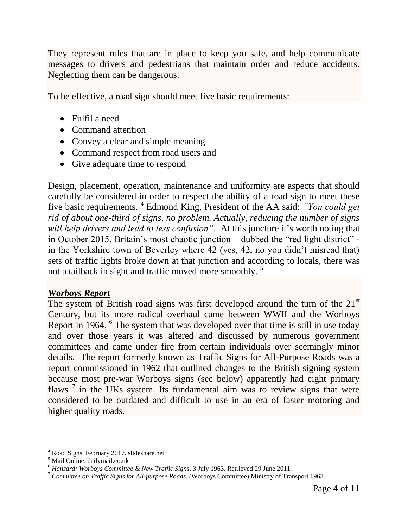They represent rules that are in place to keep you safe, and help communicate messages to drivers and pedestrians that maintain order and reduce accidents. Neglecting them can be dangerous.

To be effective, a road sign should meet five basic requirements:

- Fulfil a need
- Command attention
- Convey a clear and simple meaning
- Command respect from road users and
- Give adequate time to respond

Design, placement, operation, maintenance and uniformity are aspects that should carefully be considered in order to respect the ability of a road sign to meet these five basic requirements. <sup>4</sup> Edmond King, President of the AA said: *"You could get rid of about one-third of signs, no problem. Actually, reducing the number of signs will help drivers and lead to less confusion".* At this juncture it's worth noting that in October 2015, Britain's most chaotic junction – dubbed the "red light district" in the Yorkshire town of Beverley where 42 (yes, 42, no you didn't misread that) sets of traffic lights broke down at that junction and according to locals, there was not a tailback in sight and traffic moved more smoothly.<sup>5</sup>

#### *Worboys Report*

The system of British road signs was first developed around the turn of the  $21<sup>st</sup>$ Century, but its more radical overhaul came between WWII and the Worboys Report in 1964. <sup>6</sup> The system that was developed over that time is still in use today and over those years it was altered and discussed by numerous government committees and came under fire from certain individuals over seemingly minor details. The report formerly known as Traffic Signs for All-Purpose Roads was a report commissioned in 1962 that outlined changes to the British signing system because most pre-war Worboys signs (see below) apparently had eight primary flaws<sup>7</sup> in the UKs system. Its fundamental aim was to review signs that were considered to be outdated and difficult to use in an era of faster motoring and higher quality roads.

l

<sup>&</sup>lt;sup>4</sup> Road Signs. February 2017. slideshare.net

<sup>&</sup>lt;sup>5</sup> Mail Online. dailymail.co.uk

<sup>6</sup> *Hansard: Worboys Committee & New Traffic Signs*. 3 July 1963. Retrieved 29 June 2011.

<sup>7</sup> *Committee on Traffic Signs for All-purpose Roads.* (Worboys Committee) Ministry of Transport 1963.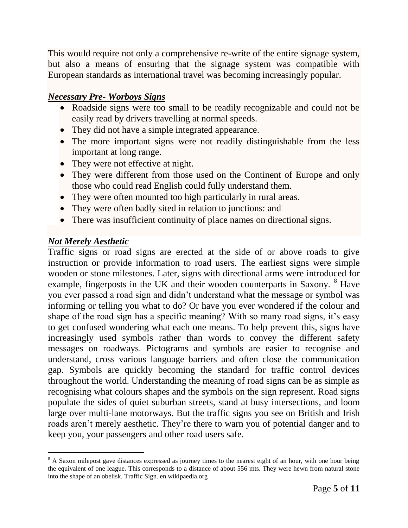This would require not only a comprehensive re-write of the entire signage system, but also a means of ensuring that the signage system was compatible with European standards as international travel was becoming increasingly popular.

### *Necessary Pre- Worboys Signs*

- Roadside signs were too small to be readily recognizable and could not be easily read by drivers travelling at normal speeds.
- They did not have a simple integrated appearance.
- The more important signs were not readily distinguishable from the less important at long range.
- They were not effective at night.
- They were different from those used on the Continent of Europe and only those who could read English could fully understand them.
- They were often mounted too high particularly in rural areas.
- They were often badly sited in relation to junctions: and
- There was insufficient continuity of place names on directional signs.

# *Not Merely Aesthetic*

Traffic signs or road signs are erected at the side of or above roads to give instruction or provide information to road users. The earliest signs were simple wooden or stone milestones. Later, signs with directional arms were introduced for example, fingerposts in the UK and their wooden counterparts in Saxony. <sup>8</sup> Have you ever passed a road sign and didn't understand what the message or symbol was informing or telling you what to do? Or have you ever wondered if the colour and shape of the road sign has a specific meaning? With so many road signs, it's easy to get confused wondering what each one means. To help prevent this, signs have increasingly used symbols rather than words to convey the different safety messages on roadways. Pictograms and symbols are easier to recognise and understand, cross various language barriers and often close the communication gap. Symbols are quickly becoming the standard for traffic control devices throughout the world. Understanding the meaning of road signs can be as simple as recognising what colours shapes and the symbols on the sign represent. Road signs populate the sides of quiet suburban streets, stand at busy intersections, and loom large over multi-lane motorways. But the traffic signs you see on British and Irish roads aren't merely aesthetic. They're there to warn you of potential danger and to keep you, your passengers and other road users safe.

 $\overline{a}$ <sup>8</sup> A Saxon milepost gave distances expressed as journey times to the nearest eight of an hour, with one hour being the equivalent of one league. This corresponds to a distance of about 556 mts. They were hewn from natural stone into the shape of an obelisk. Traffic Sign. en.wikipaedia.org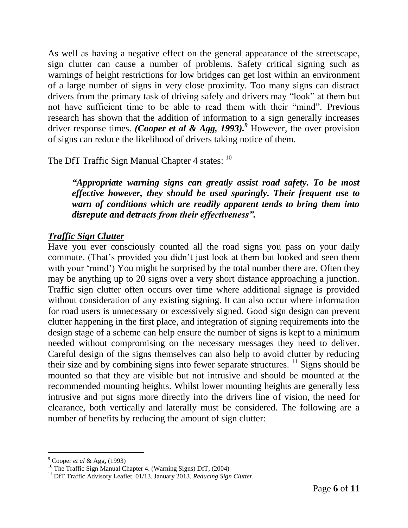As well as having a negative effect on the general appearance of the streetscape, sign clutter can cause a number of problems. Safety critical signing such as warnings of height restrictions for low bridges can get lost within an environment of a large number of signs in very close proximity. Too many signs can distract drivers from the primary task of driving safely and drivers may "look" at them but not have sufficient time to be able to read them with their "mind". Previous research has shown that the addition of information to a sign generally increases driver response times. *(Cooper et al & Agg, 1993).<sup>9</sup>* However, the over provision of signs can reduce the likelihood of drivers taking notice of them.

The DfT Traffic Sign Manual Chapter 4 states: 10

*"Appropriate warning signs can greatly assist road safety. To be most effective however, they should be used sparingly. Their frequent use to warn of conditions which are readily apparent tends to bring them into disrepute and detracts from their effectiveness".* 

#### *Traffic Sign Clutter*

Have you ever consciously counted all the road signs you pass on your daily commute. (That's provided you didn't just look at them but looked and seen them with your 'mind') You might be surprised by the total number there are. Often they may be anything up to 20 signs over a very short distance approaching a junction. Traffic sign clutter often occurs over time where additional signage is provided without consideration of any existing signing. It can also occur where information for road users is unnecessary or excessively signed. Good sign design can prevent clutter happening in the first place, and integration of signing requirements into the design stage of a scheme can help ensure the number of signs is kept to a minimum needed without compromising on the necessary messages they need to deliver. Careful design of the signs themselves can also help to avoid clutter by reducing their size and by combining signs into fewer separate structures. <sup>11</sup> Signs should be mounted so that they are visible but not intrusive and should be mounted at the recommended mounting heights. Whilst lower mounting heights are generally less intrusive and put signs more directly into the drivers line of vision, the need for clearance, both vertically and laterally must be considered. The following are a number of benefits by reducing the amount of sign clutter:

 $\overline{a}$ 

<sup>9</sup> Cooper *et al* & Agg, (1993)

<sup>&</sup>lt;sup>10</sup> The Traffic Sign Manual Chapter 4. (Warning Signs) DfT, (2004)

<sup>&</sup>lt;sup>11</sup> DfT Traffic Advisory Leaflet. 01/13. January 2013. *Reducing Sign Clutter*.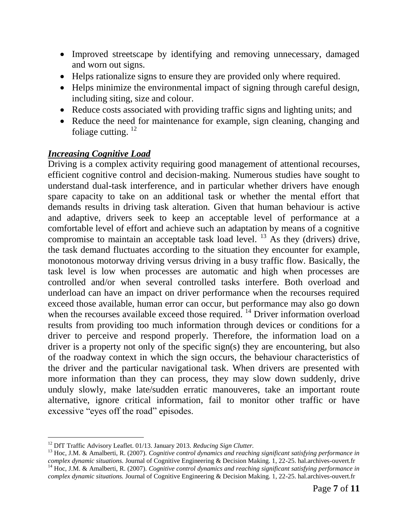- Improved streetscape by identifying and removing unnecessary, damaged and worn out signs.
- Helps rationalize signs to ensure they are provided only where required.
- Helps minimize the environmental impact of signing through careful design, including siting, size and colour.
- Reduce costs associated with providing traffic signs and lighting units; and
- Reduce the need for maintenance for example, sign cleaning, changing and foliage cutting.  $12$

# *Increasing Cognitive Load*

Driving is a complex activity requiring good management of attentional recourses, efficient cognitive control and decision-making. Numerous studies have sought to understand dual-task interference, and in particular whether drivers have enough spare capacity to take on an additional task or whether the mental effort that demands results in driving task alteration. Given that human behaviour is active and adaptive, drivers seek to keep an acceptable level of performance at a comfortable level of effort and achieve such an adaptation by means of a cognitive compromise to maintain an acceptable task load level.  $^{13}$  As they (drivers) drive, the task demand fluctuates according to the situation they encounter for example, monotonous motorway driving versus driving in a busy traffic flow. Basically, the task level is low when processes are automatic and high when processes are controlled and/or when several controlled tasks interfere. Both overload and underload can have an impact on driver performance when the recourses required exceed those available, human error can occur, but performance may also go down when the recourses available exceed those required.<sup>14</sup> Driver information overload results from providing too much information through devices or conditions for a driver to perceive and respond properly. Therefore, the information load on a driver is a property not only of the specific sign(s) they are encountering, but also of the roadway context in which the sign occurs, the behaviour characteristics of the driver and the particular navigational task. When drivers are presented with more information than they can process, they may slow down suddenly, drive unduly slowly, make late/sudden erratic manouveres, take an important route alternative, ignore critical information, fail to monitor other traffic or have excessive "eyes off the road" episodes.

l <sup>12</sup> DfT Traffic Advisory Leaflet. 01/13. January 2013. *Reducing Sign Clutter*.

<sup>13</sup> Hoc, J.M. & Amalberti, R. (2007). *Cognitive control dynamics and reaching significant satisfying performance in complex dynamic situations.* Journal of Cognitive Engineering & Decision Making. 1, 22-25. hal.archives-ouvert.fr <sup>14</sup> Hoc, J.M. & Amalberti, R. (2007). *Cognitive control dynamics and reaching significant satisfying performance in*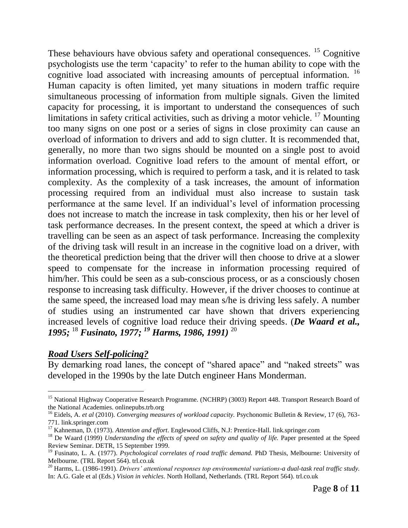These behaviours have obvious safety and operational consequences. <sup>15</sup> Cognitive psychologists use the term 'capacity' to refer to the human ability to cope with the cognitive load associated with increasing amounts of perceptual information.<sup>16</sup> Human capacity is often limited, yet many situations in modern traffic require simultaneous processing of information from multiple signals. Given the limited capacity for processing, it is important to understand the consequences of such limitations in safety critical activities, such as driving a motor vehicle.  $^{17}$  Mounting too many signs on one post or a series of signs in close proximity can cause an overload of information to drivers and add to sign clutter. It is recommended that, generally, no more than two signs should be mounted on a single post to avoid information overload. Cognitive load refers to the amount of mental effort, or information processing, which is required to perform a task, and it is related to task complexity. As the complexity of a task increases, the amount of information processing required from an individual must also increase to sustain task performance at the same level. If an individual's level of information processing does not increase to match the increase in task complexity, then his or her level of task performance decreases. In the present context, the speed at which a driver is travelling can be seen as an aspect of task performance. Increasing the complexity of the driving task will result in an increase in the cognitive load on a driver, with the theoretical prediction being that the driver will then choose to drive at a slower speed to compensate for the increase in information processing required of him/her. This could be seen as a sub-conscious process, or as a consciously chosen response to increasing task difficulty. However, if the driver chooses to continue at the same speed, the increased load may mean s/he is driving less safely. A number of studies using an instrumented car have shown that drivers experiencing increased levels of cognitive load reduce their driving speeds. (*De Waard et al., 1995;* <sup>18</sup> *Fusinato, 1977; <sup>19</sup> Harms, 1986, 1991)* <sup>20</sup>

#### *Road Users Self-policing?*

By demarking road lanes, the concept of "shared apace" and "naked streets" was developed in the 1990s by the late Dutch engineer Hans Monderman.

l <sup>15</sup> National Highway Cooperative Research Programme. (NCHRP) (3003) Report 448. Transport Research Board of the National Academies. onlinepubs.trb.org

<sup>&</sup>lt;sup>16</sup> Eidels, A. *et al* (2010). *Converging measures of workload capacity*. Psychonomic Bulletin & Review, 17 (6), 763-771. link.springer.com

<sup>17</sup> Kahneman, D. (1973). *Attention and effort*. Englewood Cliffs, N.J: Prentice-Hall. link.springer.com

<sup>&</sup>lt;sup>18</sup> De Waard (1999) *Understanding the effects of speed on safety and quality of life.* Paper presented at the Speed Review Seminar. DETR, 15 September 1999.

<sup>19</sup> Fusinato, L. A. (1977). *Psychological correlates of road traffic demand.* PhD Thesis, Melbourne: University of Melbourne. (TRL Report 564). trl.co.uk

<sup>20</sup> Harms, L. (1986-1991). *Drivers' attentional responses top environmental variations-a dual-task real traffic study.* In: A.G. Gale et al (Eds.) *Vision in vehicles*. North Holland, Netherlands. (TRL Report 564). trl.co.uk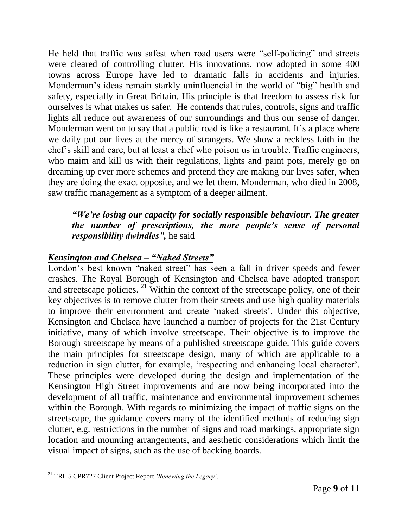He held that traffic was safest when road users were "self-policing" and streets were cleared of controlling clutter. His innovations, now adopted in some 400 towns across Europe have led to dramatic falls in accidents and injuries. Monderman's ideas remain starkly uninfluencial in the world of "big" health and safety, especially in Great Britain. His principle is that freedom to assess risk for ourselves is what makes us safer. He contends that rules, controls, signs and traffic lights all reduce out awareness of our surroundings and thus our sense of danger. Monderman went on to say that a public road is like a restaurant. It's a place where we daily put our lives at the mercy of strangers. We show a reckless faith in the chef's skill and care, but at least a chef who poison us in trouble. Traffic engineers, who maim and kill us with their regulations, lights and paint pots, merely go on dreaming up ever more schemes and pretend they are making our lives safer, when they are doing the exact opposite, and we let them. Monderman, who died in 2008, saw traffic management as a symptom of a deeper ailment.

#### *"We're losing our capacity for socially responsible behaviour. The greater the number of prescriptions, the more people's sense of personal responsibility dwindles",* he said

#### *Kensington and Chelsea – "Naked Streets"*

London's best known "naked street" has seen a fall in driver speeds and fewer crashes. The Royal Borough of Kensington and Chelsea have adopted transport and streetscape policies. <sup>21</sup> Within the context of the streetscape policy, one of their key objectives is to remove clutter from their streets and use high quality materials to improve their environment and create 'naked streets'. Under this objective, Kensington and Chelsea have launched a number of projects for the 21st Century initiative, many of which involve streetscape. Their objective is to improve the Borough streetscape by means of a published streetscape guide. This guide covers the main principles for streetscape design, many of which are applicable to a reduction in sign clutter, for example, 'respecting and enhancing local character'. These principles were developed during the design and implementation of the Kensington High Street improvements and are now being incorporated into the development of all traffic, maintenance and environmental improvement schemes within the Borough. With regards to minimizing the impact of traffic signs on the streetscape, the guidance covers many of the identified methods of reducing sign clutter, e.g. restrictions in the number of signs and road markings, appropriate sign location and mounting arrangements, and aesthetic considerations which limit the visual impact of signs, such as the use of backing boards.

 $\overline{a}$ 

<sup>21</sup> TRL 5 CPR727 Client Project Report *'Renewing the Legacy'.*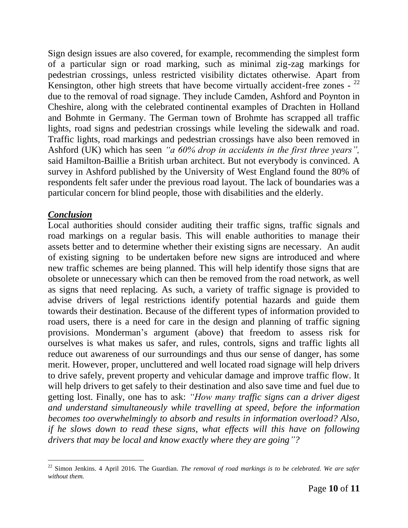Sign design issues are also covered, for example, recommending the simplest form of a particular sign or road marking, such as minimal zig-zag markings for pedestrian crossings, unless restricted visibility dictates otherwise. Apart from Kensington, other high streets that have become virtually accident-free zones -  $^{22}$ due to the removal of road signage. They include Camden, Ashford and Poynton in Cheshire, along with the celebrated continental examples of Drachten in Holland and Bohmte in Germany. The German town of Brohmte has scrapped all traffic lights, road signs and pedestrian crossings while leveling the sidewalk and road. Traffic lights, road markings and pedestrian crossings have also been removed in Ashford (UK) which has seen *"a 60% drop in accidents in the first three years",*  said Hamilton-Baillie a British urban architect. But not everybody is convinced. A survey in Ashford published by the University of West England found the 80% of respondents felt safer under the previous road layout. The lack of boundaries was a particular concern for blind people, those with disabilities and the elderly.

#### *Conclusion*

Local authorities should consider auditing their traffic signs, traffic signals and road markings on a regular basis. This will enable authorities to manage their assets better and to determine whether their existing signs are necessary. An audit of existing signing to be undertaken before new signs are introduced and where new traffic schemes are being planned. This will help identify those signs that are obsolete or unnecessary which can then be removed from the road network, as well as signs that need replacing. As such, a variety of traffic signage is provided to advise drivers of legal restrictions identify potential hazards and guide them towards their destination. Because of the different types of information provided to road users, there is a need for care in the design and planning of traffic signing provisions. Monderman's argument (above) that freedom to assess risk for ourselves is what makes us safer, and rules, controls, signs and traffic lights all reduce out awareness of our surroundings and thus our sense of danger, has some merit. However, proper, uncluttered and well located road signage will help drivers to drive safely, prevent property and vehicular damage and improve traffic flow. It will help drivers to get safely to their destination and also save time and fuel due to getting lost. Finally, one has to ask: *"How many traffic signs can a driver digest and understand simultaneously while travelling at speed, before the information becomes too overwhelmingly to absorb and results in information overload? Also, if he slows down to read these signs, what effects will this have on following drivers that may be local and know exactly where they are going"?*

l <sup>22</sup> Simon Jenkins. 4 April 2016. The Guardian. *The removal of road markings is to be celebrated. We are safer without them.*